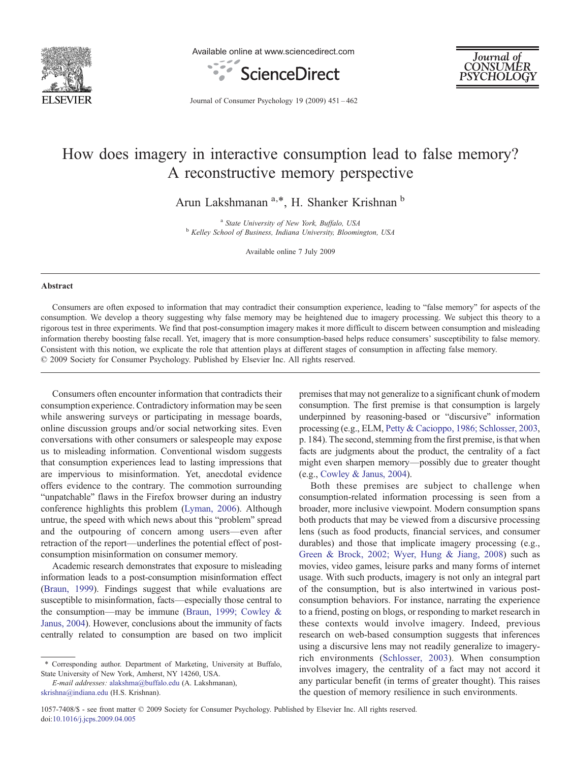

Available online at www.sciencedirect.com





Journal of Consumer Psychology 19 (2009) 451–462

# How does imagery in interactive consumption lead to false memory? A reconstructive memory perspective

Arun Lakshmanan<sup>a,\*</sup>, H. Shanker Krishnan<sup>b</sup>

 $^{\rm a}$  State University of New York, Buffalo, USA  $^{\rm b}$  Kelley School of Business, Indiana University, Bloomington, USA

Available online 7 July 2009

#### Abstract

Consumers are often exposed to information that may contradict their consumption experience, leading to "false memory" for aspects of the consumption. We develop a theory suggesting why false memory may be heightened due to imagery processing. We subject this theory to a rigorous test in three experiments. We find that post-consumption imagery makes it more difficult to discern between consumption and misleading information thereby boosting false recall. Yet, imagery that is more consumption-based helps reduce consumers' susceptibility to false memory. Consistent with this notion, we explicate the role that attention plays at different stages of consumption in affecting false memory. © 2009 Society for Consumer Psychology. Published by Elsevier Inc. All rights reserved.

Consumers often encounter information that contradicts their consumption experience. Contradictory information may be seen while answering surveys or participating in message boards, online discussion groups and/or social networking sites. Even conversations with other consumers or salespeople may expose us to misleading information. Conventional wisdom suggests that consumption experiences lead to lasting impressions that are impervious to misinformation. Yet, anecdotal evidence offers evidence to the contrary. The commotion surrounding "unpatchable" flaws in the Firefox browser during an industry conference highlights this problem [\(Lyman, 2006](#page-10-0)). Although untrue, the speed with which news about this "problem" spread and the outpouring of concern among users—even after retraction of the report—underlines the potential effect of postconsumption misinformation on consumer memory.

Academic research demonstrates that exposure to misleading information leads to a post-consumption misinformation effect ([Braun, 1999](#page-10-0)). Findings suggest that while evaluations are susceptible to misinformation, facts—especially those central to the consumption—may be immune ([Braun, 1999; Cowley &](#page-10-0) [Janus, 2004\)](#page-10-0). However, conclusions about the immunity of facts centrally related to consumption are based on two implicit

E-mail addresses: [alakshma@buffalo.edu](mailto:alakshma@buffalo.edu) (A. Lakshmanan), [skrishna@indiana.edu](mailto:skrishna@indiana.edu) (H.S. Krishnan).

premises that may not generalize to a significant chunk of modern consumption. The first premise is that consumption is largely underpinned by reasoning-based or "discursive" information processing (e.g., ELM, [Petty & Cacioppo, 1986; Schlosser, 2003](#page-10-0), p. 184). The second, stemming from the first premise, is that when facts are judgments about the product, the centrality of a fact might even sharpen memory—possibly due to greater thought (e.g., [Cowley & Janus, 2004\)](#page-10-0).

Both these premises are subject to challenge when consumption-related information processing is seen from a broader, more inclusive viewpoint. Modern consumption spans both products that may be viewed from a discursive processing lens (such as food products, financial services, and consumer durables) and those that implicate imagery processing (e.g., [Green & Brock, 2002; Wyer, Hung & Jiang, 2008](#page-10-0)) such as movies, video games, leisure parks and many forms of internet usage. With such products, imagery is not only an integral part of the consumption, but is also intertwined in various postconsumption behaviors. For instance, narrating the experience to a friend, posting on blogs, or responding to market research in these contexts would involve imagery. Indeed, previous research on web-based consumption suggests that inferences using a discursive lens may not readily generalize to imageryrich environments ([Schlosser, 2003](#page-10-0)). When consumption involves imagery, the centrality of a fact may not accord it any particular benefit (in terms of greater thought). This raises the question of memory resilience in such environments.

<sup>⁎</sup> Corresponding author. Department of Marketing, University at Buffalo, State University of New York, Amherst, NY 14260, USA.

<sup>1057-7408/\$ -</sup> see front matter © 2009 Society for Consumer Psychology. Published by Elsevier Inc. All rights reserved. doi:[10.1016/j.jcps.2009.04.005](http://dx.doi.org/10.1016/j.jcps.2009.04.005)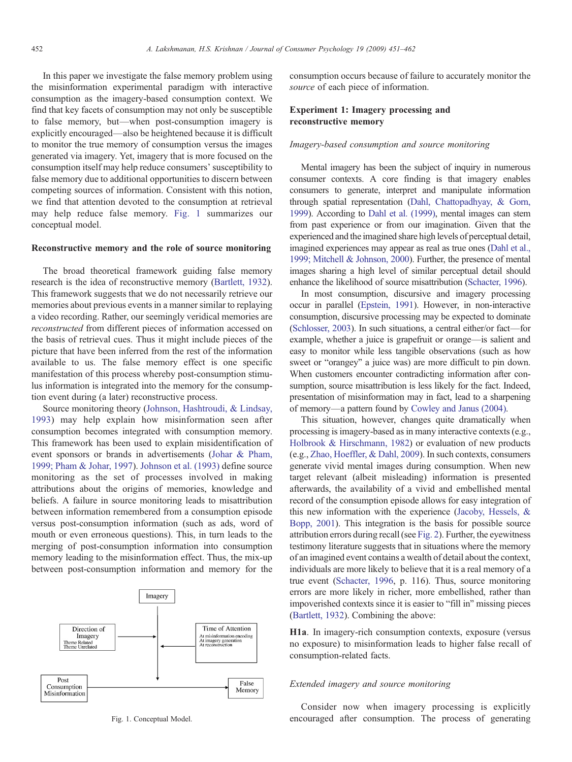In this paper we investigate the false memory problem using the misinformation experimental paradigm with interactive consumption as the imagery-based consumption context. We find that key facets of consumption may not only be susceptible to false memory, but—when post-consumption imagery is explicitly encouraged—also be heightened because it is difficult to monitor the true memory of consumption versus the images generated via imagery. Yet, imagery that is more focused on the consumption itself may help reduce consumers' susceptibility to false memory due to additional opportunities to discern between competing sources of information. Consistent with this notion, we find that attention devoted to the consumption at retrieval may help reduce false memory. Fig. 1 summarizes our conceptual model.

# Reconstructive memory and the role of source monitoring

The broad theoretical framework guiding false memory research is the idea of reconstructive memory [\(Bartlett, 1932](#page-10-0)). This framework suggests that we do not necessarily retrieve our memories about previous events in a manner similar to replaying a video recording. Rather, our seemingly veridical memories are reconstructed from different pieces of information accessed on the basis of retrieval cues. Thus it might include pieces of the picture that have been inferred from the rest of the information available to us. The false memory effect is one specific manifestation of this process whereby post-consumption stimulus information is integrated into the memory for the consumption event during (a later) reconstructive process.

Source monitoring theory ([Johnson, Hashtroudi, & Lindsay,](#page-10-0) [1993](#page-10-0)) may help explain how misinformation seen after consumption becomes integrated with consumption memory. This framework has been used to explain misidentification of event sponsors or brands in advertisements ([Johar & Pham,](#page-10-0) [1999; Pham & Johar, 1997](#page-10-0)). [Johnson et al. \(1993\)](#page-10-0) define source monitoring as the set of processes involved in making attributions about the origins of memories, knowledge and beliefs. A failure in source monitoring leads to misattribution between information remembered from a consumption episode versus post-consumption information (such as ads, word of mouth or even erroneous questions). This, in turn leads to the merging of post-consumption information into consumption memory leading to the misinformation effect. Thus, the mix-up between post-consumption information and memory for the



consumption occurs because of failure to accurately monitor the source of each piece of information.

# Experiment 1: Imagery processing and reconstructive memory

## Imagery-based consumption and source monitoring

Mental imagery has been the subject of inquiry in numerous consumer contexts. A core finding is that imagery enables consumers to generate, interpret and manipulate information through spatial representation [\(Dahl, Chattopadhyay, & Gorn,](#page-10-0) [1999\)](#page-10-0). According to [Dahl et al. \(1999\)](#page-10-0), mental images can stem from past experience or from our imagination. Given that the experienced and the imagined share high levels of perceptual detail, imagined experiences may appear as real as true ones [\(Dahl et al.,](#page-10-0) [1999; Mitchell & Johnson, 2000](#page-10-0)). Further, the presence of mental images sharing a high level of similar perceptual detail should enhance the likelihood of source misattribution [\(Schacter, 1996\)](#page-10-0).

In most consumption, discursive and imagery processing occur in parallel ([Epstein, 1991\)](#page-10-0). However, in non-interactive consumption, discursive processing may be expected to dominate ([Schlosser, 2003\)](#page-10-0). In such situations, a central either/or fact—for example, whether a juice is grapefruit or orange—is salient and easy to monitor while less tangible observations (such as how sweet or "orangey" a juice was) are more difficult to pin down. When customers encounter contradicting information after consumption, source misattribution is less likely for the fact. Indeed, presentation of misinformation may in fact, lead to a sharpening of memory—a pattern found by [Cowley and Janus \(2004\).](#page-10-0)

This situation, however, changes quite dramatically when processing is imagery-based as in many interactive contexts (e.g., [Holbrook & Hirschmann, 1982](#page-10-0)) or evaluation of new products (e.g., [Zhao, Hoeffler, & Dahl, 2009\)](#page-11-0). In such contexts, consumers generate vivid mental images during consumption. When new target relevant (albeit misleading) information is presented afterwards, the availability of a vivid and embellished mental record of the consumption episode allows for easy integration of this new information with the experience [\(Jacoby, Hessels, &](#page-10-0) [Bopp, 2001](#page-10-0)). This integration is the basis for possible source attribution errors during recall (see [Fig. 2](#page-2-0)). Further, the eyewitness testimony literature suggests that in situations where the memory of an imagined event contains a wealth of detail about the context, individuals are more likely to believe that it is a real memory of a true event [\(Schacter, 1996,](#page-10-0) p. 116). Thus, source monitoring errors are more likely in richer, more embellished, rather than impoverished contexts since it is easier to "fill in" missing pieces ([Bartlett, 1932](#page-10-0)). Combining the above:

H1a. In imagery-rich consumption contexts, exposure (versus no exposure) to misinformation leads to higher false recall of consumption-related facts.

#### Extended imagery and source monitoring

Consider now when imagery processing is explicitly Fig. 1. Conceptual Model. encouraged after consumption. The process of generating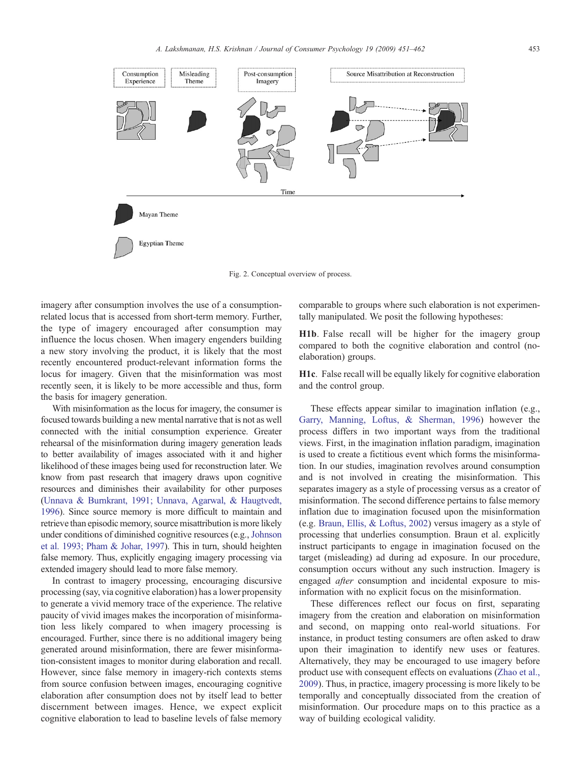<span id="page-2-0"></span>

Fig. 2. Conceptual overview of process.

imagery after consumption involves the use of a consumptionrelated locus that is accessed from short-term memory. Further, the type of imagery encouraged after consumption may influence the locus chosen. When imagery engenders building a new story involving the product, it is likely that the most recently encountered product-relevant information forms the locus for imagery. Given that the misinformation was most recently seen, it is likely to be more accessible and thus, form the basis for imagery generation.

With misinformation as the locus for imagery, the consumer is focused towards building a new mental narrative that is not as well connected with the initial consumption experience. Greater rehearsal of the misinformation during imagery generation leads to better availability of images associated with it and higher likelihood of these images being used for reconstruction later. We know from past research that imagery draws upon cognitive resources and diminishes their availability for other purposes ([Unnava & Burnkrant, 1991; Unnava, Agarwal, & Haugtvedt,](#page-10-0) [1996\)](#page-10-0). Since source memory is more difficult to maintain and retrieve than episodic memory, source misattribution is more likely under conditions of diminished cognitive resources (e.g., [Johnson](#page-10-0) [et al. 1993; Pham & Johar, 1997](#page-10-0)). This in turn, should heighten false memory. Thus, explicitly engaging imagery processing via extended imagery should lead to more false memory.

In contrast to imagery processing, encouraging discursive processing (say, via cognitive elaboration) has a lower propensity to generate a vivid memory trace of the experience. The relative paucity of vivid images makes the incorporation of misinformation less likely compared to when imagery processing is encouraged. Further, since there is no additional imagery being generated around misinformation, there are fewer misinformation-consistent images to monitor during elaboration and recall. However, since false memory in imagery-rich contexts stems from source confusion between images, encouraging cognitive elaboration after consumption does not by itself lead to better discernment between images. Hence, we expect explicit cognitive elaboration to lead to baseline levels of false memory

comparable to groups where such elaboration is not experimentally manipulated. We posit the following hypotheses:

H1b. False recall will be higher for the imagery group compared to both the cognitive elaboration and control (noelaboration) groups.

H1c. False recall will be equally likely for cognitive elaboration and the control group.

These effects appear similar to imagination inflation (e.g., [Garry, Manning, Loftus, & Sherman, 1996](#page-10-0)) however the process differs in two important ways from the traditional views. First, in the imagination inflation paradigm, imagination is used to create a fictitious event which forms the misinformation. In our studies, imagination revolves around consumption and is not involved in creating the misinformation. This separates imagery as a style of processing versus as a creator of misinformation. The second difference pertains to false memory inflation due to imagination focused upon the misinformation (e.g. [Braun, Ellis, & Loftus, 2002\)](#page-10-0) versus imagery as a style of processing that underlies consumption. Braun et al. explicitly instruct participants to engage in imagination focused on the target (misleading) ad during ad exposure. In our procedure, consumption occurs without any such instruction. Imagery is engaged after consumption and incidental exposure to misinformation with no explicit focus on the misinformation.

These differences reflect our focus on first, separating imagery from the creation and elaboration on misinformation and second, on mapping onto real-world situations. For instance, in product testing consumers are often asked to draw upon their imagination to identify new uses or features. Alternatively, they may be encouraged to use imagery before product use with consequent effects on evaluations [\(Zhao et al.,](#page-11-0) [2009](#page-11-0)). Thus, in practice, imagery processing is more likely to be temporally and conceptually dissociated from the creation of misinformation. Our procedure maps on to this practice as a way of building ecological validity.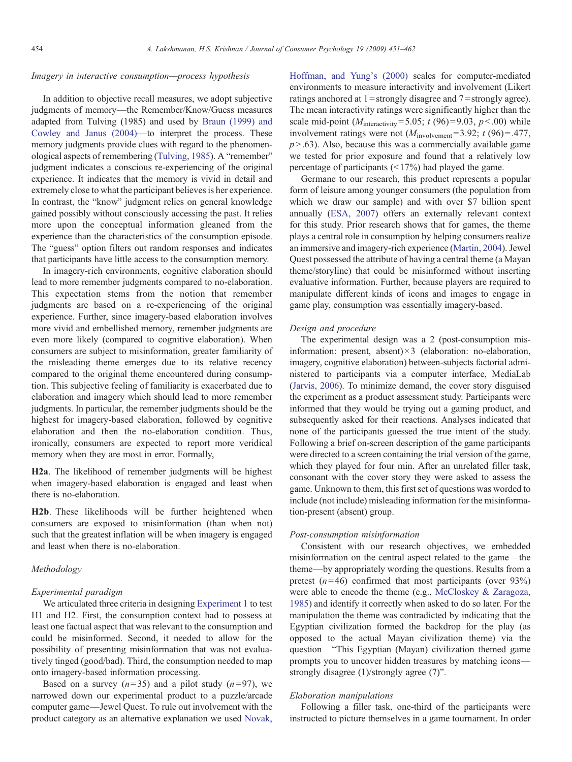# Imagery in interactive consumption—process hypothesis

In addition to objective recall measures, we adopt subjective judgments of memory—the Remember/Know/Guess measures adapted from Tulving (1985) and used by [Braun \(1999\) and](#page-10-0) [Cowley and Janus \(2004\)](#page-10-0)—to interpret the process. These memory judgments provide clues with regard to the phenomenological aspects of remembering ([Tulving, 1985](#page-10-0)). A "remember" judgment indicates a conscious re-experiencing of the original experience. It indicates that the memory is vivid in detail and extremely close to what the participant believes is her experience. In contrast, the "know" judgment relies on general knowledge gained possibly without consciously accessing the past. It relies more upon the conceptual information gleaned from the experience than the characteristics of the consumption episode. The "guess" option filters out random responses and indicates that participants have little access to the consumption memory.

In imagery-rich environments, cognitive elaboration should lead to more remember judgments compared to no-elaboration. This expectation stems from the notion that remember judgments are based on a re-experiencing of the original experience. Further, since imagery-based elaboration involves more vivid and embellished memory, remember judgments are even more likely (compared to cognitive elaboration). When consumers are subject to misinformation, greater familiarity of the misleading theme emerges due to its relative recency compared to the original theme encountered during consumption. This subjective feeling of familiarity is exacerbated due to elaboration and imagery which should lead to more remember judgments. In particular, the remember judgments should be the highest for imagery-based elaboration, followed by cognitive elaboration and then the no-elaboration condition. Thus, ironically, consumers are expected to report more veridical memory when they are most in error. Formally,

H2a. The likelihood of remember judgments will be highest when imagery-based elaboration is engaged and least when there is no-elaboration.

H2b. These likelihoods will be further heightened when consumers are exposed to misinformation (than when not) such that the greatest inflation will be when imagery is engaged and least when there is no-elaboration.

# Methodology

### Experimental paradigm

We articulated three criteria in designing Experiment 1 to test H1 and H2. First, the consumption context had to possess at least one factual aspect that was relevant to the consumption and could be misinformed. Second, it needed to allow for the possibility of presenting misinformation that was not evaluatively tinged (good/bad). Third, the consumption needed to map onto imagery-based information processing.

Based on a survey  $(n=35)$  and a pilot study  $(n=97)$ , we narrowed down our experimental product to a puzzle/arcade computer game—Jewel Quest. To rule out involvement with the product category as an alternative explanation we used [Novak,](#page-10-0)

[Hoffman, and Yung's \(2000\)](#page-10-0) scales for computer-mediated environments to measure interactivity and involvement (Likert ratings anchored at  $1 =$ strongly disagree and  $7 =$ strongly agree). The mean interactivity ratings were significantly higher than the scale mid-point ( $M_{\text{interactivity}} = 5.05$ ; t (96)=9.03, p < .00) while involvement ratings were not  $(M_{\text{involvement}}= 3.92; t (96)=.477,$  $p > .63$ ). Also, because this was a commercially available game we tested for prior exposure and found that a relatively low percentage of participants  $(\leq 17\%)$  had played the game.

Germane to our research, this product represents a popular form of leisure among younger consumers (the population from which we draw our sample) and with over \$7 billion spent annually [\(ESA, 2007\)](#page-10-0) offers an externally relevant context for this study. Prior research shows that for games, the theme plays a central role in consumption by helping consumers realize an immersive and imagery-rich experience [\(Martin, 2004\)](#page-10-0). Jewel Quest possessed the attribute of having a central theme (a Mayan theme/storyline) that could be misinformed without inserting evaluative information. Further, because players are required to manipulate different kinds of icons and images to engage in game play, consumption was essentially imagery-based.

## Design and procedure

The experimental design was a 2 (post-consumption misinformation: present, absent) $\times$ 3 (elaboration: no-elaboration, imagery, cognitive elaboration) between-subjects factorial administered to participants via a computer interface, MediaLab ([Jarvis, 2006](#page-10-0)). To minimize demand, the cover story disguised the experiment as a product assessment study. Participants were informed that they would be trying out a gaming product, and subsequently asked for their reactions. Analyses indicated that none of the participants guessed the true intent of the study. Following a brief on-screen description of the game participants were directed to a screen containing the trial version of the game, which they played for four min. After an unrelated filler task, consonant with the cover story they were asked to assess the game. Unknown to them, this first set of questions was worded to include (not include) misleading information for the misinformation-present (absent) group.

## Post-consumption misinformation

Consistent with our research objectives, we embedded misinformation on the central aspect related to the game—the theme—by appropriately wording the questions. Results from a pretest  $(n=46)$  confirmed that most participants (over 93%) were able to encode the theme (e.g., [McCloskey & Zaragoza,](#page-10-0) [1985\)](#page-10-0) and identify it correctly when asked to do so later. For the manipulation the theme was contradicted by indicating that the Egyptian civilization formed the backdrop for the play (as opposed to the actual Mayan civilization theme) via the question—"This Egyptian (Mayan) civilization themed game prompts you to uncover hidden treasures by matching icons strongly disagree (1)/strongly agree (7)".

# Elaboration manipulations

Following a filler task, one-third of the participants were instructed to picture themselves in a game tournament. In order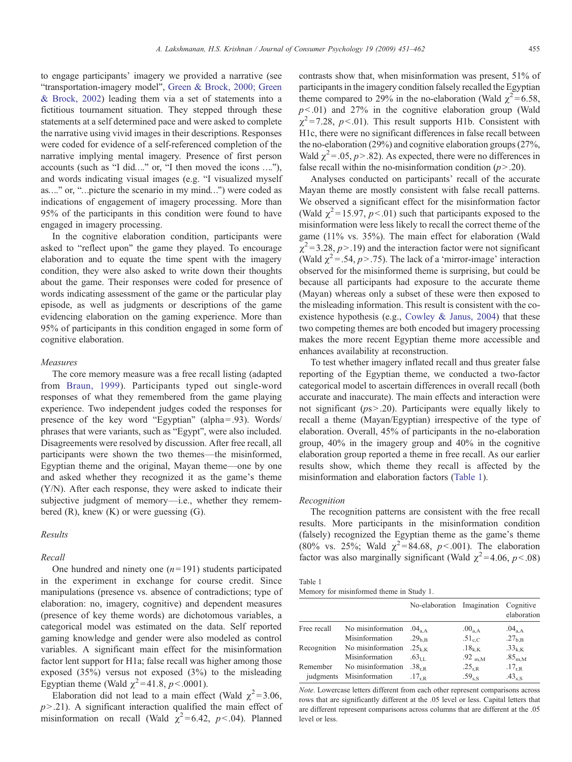to engage participants' imagery we provided a narrative (see "transportation-imagery model", [Green & Brock, 2000; Green](#page-10-0) [& Brock, 2002\)](#page-10-0) leading them via a set of statements into a fictitious tournament situation. They stepped through these statements at a self determined pace and were asked to complete the narrative using vivid images in their descriptions. Responses were coded for evidence of a self-referenced completion of the narrative implying mental imagery. Presence of first person accounts (such as "I did…." or, "I then moved the icons …."), and words indicating visual images (e.g. "I visualized myself as…." or, "…picture the scenario in my mind…") were coded as indications of engagement of imagery processing. More than 95% of the participants in this condition were found to have engaged in imagery processing.

In the cognitive elaboration condition, participants were asked to "reflect upon" the game they played. To encourage elaboration and to equate the time spent with the imagery condition, they were also asked to write down their thoughts about the game. Their responses were coded for presence of words indicating assessment of the game or the particular play episode, as well as judgments or descriptions of the game evidencing elaboration on the gaming experience. More than 95% of participants in this condition engaged in some form of cognitive elaboration.

#### Measures

The core memory measure was a free recall listing (adapted from [Braun, 1999](#page-10-0)). Participants typed out single-word responses of what they remembered from the game playing experience. Two independent judges coded the responses for presence of the key word "Egyptian" (alpha=.93). Words/ phrases that were variants, such as "Egypt", were also included. Disagreements were resolved by discussion. After free recall, all participants were shown the two themes—the misinformed, Egyptian theme and the original, Mayan theme—one by one and asked whether they recognized it as the game's theme (Y/N). After each response, they were asked to indicate their subjective judgment of memory—i.e., whether they remembered  $(R)$ , knew  $(K)$  or were guessing  $(G)$ .

# Results

# Recall

One hundred and ninety one  $(n=191)$  students participated in the experiment in exchange for course credit. Since manipulations (presence vs. absence of contradictions; type of elaboration: no, imagery, cognitive) and dependent measures (presence of key theme words) are dichotomous variables, a categorical model was estimated on the data. Self reported gaming knowledge and gender were also modeled as control variables. A significant main effect for the misinformation factor lent support for H1a; false recall was higher among those exposed (35%) versus not exposed (3%) to the misleading Egyptian theme (Wald  $\chi^2$ =41.8, *p*<.0001).

Elaboration did not lead to a main effect (Wald  $\chi^2$ =3.06,  $p$ >.21). A significant interaction qualified the main effect of misinformation on recall (Wald  $\chi^2$ =6.42, p < .04). Planned contrasts show that, when misinformation was present, 51% of participants in the imagery condition falsely recalled the Egyptian theme compared to 29% in the no-elaboration (Wald  $\gamma^2$  = 6.58,  $p<01$ ) and 27% in the cognitive elaboration group (Wald  $\gamma^2$ =7.28, p<.01). This result supports H1b. Consistent with H1c, there were no significant differences in false recall between the no-elaboration (29%) and cognitive elaboration groups (27%, Wald  $\chi^2$  = .05, p > .82). As expected, there were no differences in false recall within the no-misinformation condition  $(p > .20)$ .

Analyses conducted on participants' recall of the accurate Mayan theme are mostly consistent with false recall patterns. We observed a significant effect for the misinformation factor (Wald  $\chi^2$ =15.97, p<.01) such that participants exposed to the misinformation were less likely to recall the correct theme of the game (11% vs. 35%). The main effect for elaboration (Wald  $\chi^2$  = 3.28, p > .19) and the interaction factor were not significant (Wald  $\chi^2$  = .54, p > .75). The lack of a 'mirror-image' interaction observed for the misinformed theme is surprising, but could be because all participants had exposure to the accurate theme (Mayan) whereas only a subset of these were then exposed to the misleading information. This result is consistent with the co-existence hypothesis (e.g., [Cowley & Janus, 2004\)](#page-10-0) that these two competing themes are both encoded but imagery processing makes the more recent Egyptian theme more accessible and enhances availability at reconstruction.

To test whether imagery inflated recall and thus greater false reporting of the Egyptian theme, we conducted a two-factor categorical model to ascertain differences in overall recall (both accurate and inaccurate). The main effects and interaction were not significant ( $ps > .20$ ). Participants were equally likely to recall a theme (Mayan/Egyptian) irrespective of the type of elaboration. Overall, 45% of participants in the no-elaboration group, 40% in the imagery group and 40% in the cognitive elaboration group reported a theme in free recall. As our earlier results show, which theme they recall is affected by the misinformation and elaboration factors (Table 1).

# Recognition

The recognition patterns are consistent with the free recall results. More participants in the misinformation condition (falsely) recognized the Egyptian theme as the game's theme (80% vs. 25%; Wald  $\chi^2$ =84.68, p<.001). The elaboration factor was also marginally significant (Wald  $\chi^2$ =4.06, p<.08)

| Table 1                                  |  |
|------------------------------------------|--|
| Memory for misinformed theme in Study 1. |  |

|             |                   | No-elaboration Imagination        |                    | Cognitive<br>elaboration |
|-------------|-------------------|-----------------------------------|--------------------|--------------------------|
| Free recall | No misinformation | $.04_{a.A}$                       | $.00_{a,A}$        | $.04_{a,A}$              |
|             | Misinformation    | .29 <sub>b.B</sub>                | $.51_{\rm c.C.}$   | .27 <sub>b,B</sub>       |
| Recognition | No misinformation | $.25_{k.K}$                       | $.18_{k,K}$        | $.33_{k,K}$              |
|             | Misinformation    | $.63_{\text{H}}$                  | .92 <sub>m.M</sub> | $.85_{m.M}$              |
| Remember    | No misinformation | $.38_{rR}$                        | $.25_{r.R.}$       | $.17_{r,R}$              |
| judgments   | Misinformation    | $.17_{\scriptscriptstyle\rm ILR}$ | $.59_{\rm s, S}$   | $.43_{\rm s.S}$          |

Note. Lowercase letters different from each other represent comparisons across rows that are significantly different at the .05 level or less. Capital letters that are different represent comparisons across columns that are different at the .05 level or less.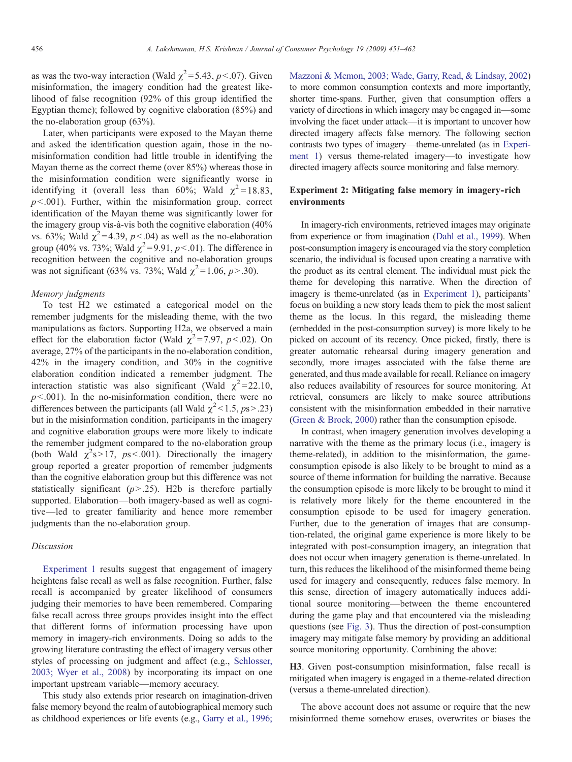as was the two-way interaction (Wald  $\chi^2$ = 5.43, p < 07). Given misinformation, the imagery condition had the greatest likelihood of false recognition (92% of this group identified the Egyptian theme); followed by cognitive elaboration (85%) and the no-elaboration group (63%).

Later, when participants were exposed to the Mayan theme and asked the identification question again, those in the nomisinformation condition had little trouble in identifying the Mayan theme as the correct theme (over 85%) whereas those in the misinformation condition were significantly worse in identifying it (overall less than 60%; Wald  $\chi^2$  = 18.83,  $p<.001$ ). Further, within the misinformation group, correct identification of the Mayan theme was significantly lower for the imagery group vis-à-vis both the cognitive elaboration (40% vs. 63%; Wald  $\chi^2$ =4.39, p < 04) as well as the no-elaboration group (40% vs. 73%; Wald  $\chi^2$ =9.91, p<.01). The difference in recognition between the cognitive and no-elaboration groups was not significant (63% vs. 73%; Wald  $\chi^2$  = 1.06, p > .30).

#### Memory judgments

To test H2 we estimated a categorical model on the remember judgments for the misleading theme, with the two manipulations as factors. Supporting H2a, we observed a main effect for the elaboration factor (Wald  $\chi^2$ =7.97, p<.02). On average, 27% of the participants in the no-elaboration condition, 42% in the imagery condition, and 30% in the cognitive elaboration condition indicated a remember judgment. The interaction statistic was also significant (Wald  $\chi^2$ =22.10,  $p<0.001$ ). In the no-misinformation condition, there were no differences between the participants (all Wald  $\chi^2$  < 1.5, ps>.23) but in the misinformation condition, participants in the imagery and cognitive elaboration groups were more likely to indicate the remember judgment compared to the no-elaboration group (both Wald  $\chi^2$ s>17, ps<.001). Directionally the imagery group reported a greater proportion of remember judgments than the cognitive elaboration group but this difference was not statistically significant  $(p>0.25)$ . H2b is therefore partially supported. Elaboration—both imagery-based as well as cognitive—led to greater familiarity and hence more remember judgments than the no-elaboration group.

# Discussion

Experiment 1 results suggest that engagement of imagery heightens false recall as well as false recognition. Further, false recall is accompanied by greater likelihood of consumers judging their memories to have been remembered. Comparing false recall across three groups provides insight into the effect that different forms of information processing have upon memory in imagery-rich environments. Doing so adds to the growing literature contrasting the effect of imagery versus other styles of processing on judgment and affect (e.g., [Schlosser,](#page-10-0) [2003; Wyer et al., 2008](#page-10-0)) by incorporating its impact on one important upstream variable—memory accuracy.

This study also extends prior research on imagination-driven false memory beyond the realm of autobiographical memory such as childhood experiences or life events (e.g., [Garry et al., 1996;](#page-10-0)

[Mazzoni & Memon, 2003; Wade, Garry, Read, & Lindsay, 2002\)](#page-10-0) to more common consumption contexts and more importantly, shorter time-spans. Further, given that consumption offers a variety of directions in which imagery may be engaged in—some involving the facet under attack—it is important to uncover how directed imagery affects false memory. The following section contrasts two types of imagery—theme-unrelated (as in Experiment 1) versus theme-related imagery—to investigate how directed imagery affects source monitoring and false memory.

# Experiment 2: Mitigating false memory in imagery-rich environments

In imagery-rich environments, retrieved images may originate from experience or from imagination [\(Dahl et al., 1999\)](#page-10-0). When post-consumption imagery is encouraged via the story completion scenario, the individual is focused upon creating a narrative with the product as its central element. The individual must pick the theme for developing this narrative. When the direction of imagery is theme-unrelated (as in Experiment 1), participants' focus on building a new story leads them to pick the most salient theme as the locus. In this regard, the misleading theme (embedded in the post-consumption survey) is more likely to be picked on account of its recency. Once picked, firstly, there is greater automatic rehearsal during imagery generation and secondly, more images associated with the false theme are generated, and thus made available for recall. Reliance on imagery also reduces availability of resources for source monitoring. At retrieval, consumers are likely to make source attributions consistent with the misinformation embedded in their narrative ([Green & Brock, 2000](#page-10-0)) rather than the consumption episode.

In contrast, when imagery generation involves developing a narrative with the theme as the primary locus (i.e., imagery is theme-related), in addition to the misinformation, the gameconsumption episode is also likely to be brought to mind as a source of theme information for building the narrative. Because the consumption episode is more likely to be brought to mind it is relatively more likely for the theme encountered in the consumption episode to be used for imagery generation. Further, due to the generation of images that are consumption-related, the original game experience is more likely to be integrated with post-consumption imagery, an integration that does not occur when imagery generation is theme-unrelated. In turn, this reduces the likelihood of the misinformed theme being used for imagery and consequently, reduces false memory. In this sense, direction of imagery automatically induces additional source monitoring—between the theme encountered during the game play and that encountered via the misleading questions (see [Fig. 3](#page-6-0)). Thus the direction of post-consumption imagery may mitigate false memory by providing an additional source monitoring opportunity. Combining the above:

H3. Given post-consumption misinformation, false recall is mitigated when imagery is engaged in a theme-related direction (versus a theme-unrelated direction).

The above account does not assume or require that the new misinformed theme somehow erases, overwrites or biases the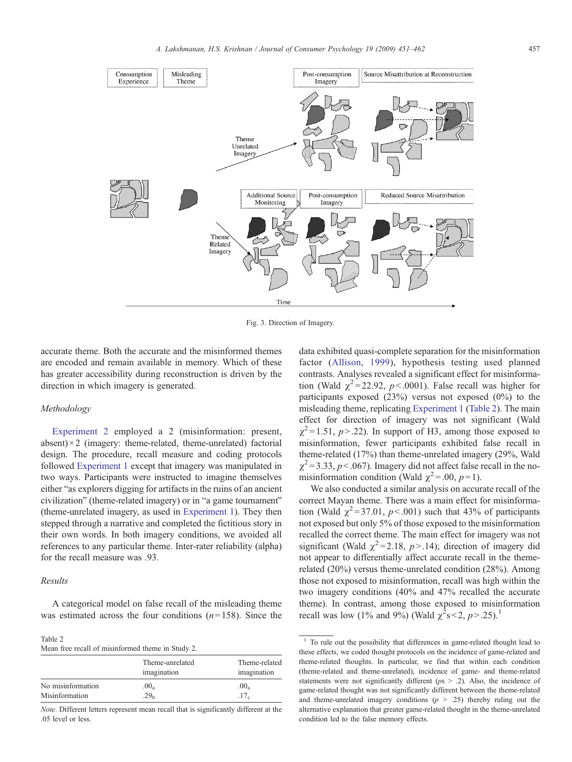<span id="page-6-0"></span>

Fig. 3. Direction of Imagery.

accurate theme. Both the accurate and the misinformed themes are encoded and remain available in memory. Which of these has greater accessibility during reconstruction is driven by the direction in which imagery is generated.

### Methodology

Experiment 2 employed a 2 (misinformation: present, absent) $\times$ 2 (imagery: theme-related, theme-unrelated) factorial design. The procedure, recall measure and coding protocols followed Experiment 1 except that imagery was manipulated in two ways. Participants were instructed to imagine themselves either "as explorers digging for artifacts in the ruins of an ancient civilization" (theme-related imagery) or in "a game tournament" (theme-unrelated imagery, as used in Experiment 1). They then stepped through a narrative and completed the fictitious story in their own words. In both imagery conditions, we avoided all references to any particular theme. Inter-rater reliability (alpha) for the recall measure was .93.

#### Results

A categorical model on false recall of the misleading theme was estimated across the four conditions  $(n=158)$ . Since the

#### Table 2 Mean free recall of misinformed theme in Study 2.

|                   | Theme-unrelated<br>imagination | Theme-related<br>imagination |
|-------------------|--------------------------------|------------------------------|
| No misinformation | $.00_a$                        | .00 <sub>a</sub>             |
| Misinformation    | 29 <sub>h</sub>                | .17 <sub>c</sub>             |

Note. Different letters represent mean recall that is significantly different at the .05 level or less.

data exhibited quasi-complete separation for the misinformation factor ([Allison, 1999](#page-10-0)), hypothesis testing used planned contrasts. Analyses revealed a significant effect for misinformation (Wald  $\chi^2$ =22.92, p<.0001). False recall was higher for participants exposed (23%) versus not exposed (0%) to the misleading theme, replicating Experiment 1 (Table 2). The main effect for direction of imagery was not significant (Wald  $\chi^2$ = 1.51, p>.22). In support of H3, among those exposed to misinformation, fewer participants exhibited false recall in theme-related (17%) than theme-unrelated imagery (29%, Wald  $\chi^2$  = 3.33, p < .067). Imagery did not affect false recall in the nomisinformation condition (Wald  $\chi^2$  = .00,  $p$  = 1).

We also conducted a similar analysis on accurate recall of the correct Mayan theme. There was a main effect for misinformation (Wald  $\chi^2$ =37.01, p<.001) such that 43% of participants not exposed but only 5% of those exposed to the misinformation recalled the correct theme. The main effect for imagery was not significant (Wald  $\chi^2$ =2.18, *p*>.14); direction of imagery did not appear to differentially affect accurate recall in the themerelated (20%) versus theme-unrelated condition (28%). Among those not exposed to misinformation, recall was high within the two imagery conditions (40% and 47% recalled the accurate theme). In contrast, among those exposed to misinformation recall was low (1% and 9%) (Wald  $\chi^2$ s<2, p>.25).<sup>1</sup>

<sup>&</sup>lt;sup>1</sup> To rule out the possibility that differences in game-related thought lead to these effects, we coded thought protocols on the incidence of game-related and theme-related thoughts. In particular, we find that within each condition (theme-related and theme-unrelated), incidence of game- and theme-related statements were not significantly different ( $p_s > .2$ ). Also, the incidence of game-related thought was not significantly different between the theme-related and theme-unrelated imagery conditions  $(p > .25)$  thereby ruling out the alternative explanation that greater game-related thought in the theme-unrelated condition led to the false memory effects.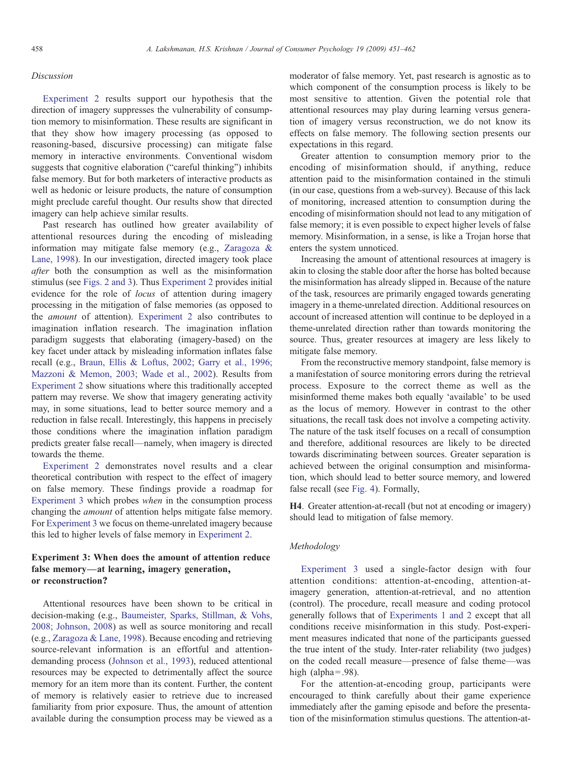# Discussion

Experiment 2 results support our hypothesis that the direction of imagery suppresses the vulnerability of consumption memory to misinformation. These results are significant in that they show how imagery processing (as opposed to reasoning-based, discursive processing) can mitigate false memory in interactive environments. Conventional wisdom suggests that cognitive elaboration ("careful thinking") inhibits false memory. But for both marketers of interactive products as well as hedonic or leisure products, the nature of consumption might preclude careful thought. Our results show that directed imagery can help achieve similar results.

Past research has outlined how greater availability of attentional resources during the encoding of misleading information may mitigate false memory (e.g., [Zaragoza &](#page-11-0) [Lane, 1998](#page-11-0)). In our investigation, directed imagery took place after both the consumption as well as the misinformation stimulus (see [Figs. 2](#page-2-0) [and 3\)](#page-6-0). Thus Experiment 2 provides initial evidence for the role of locus of attention during imagery processing in the mitigation of false memories (as opposed to the amount of attention). Experiment 2 also contributes to imagination inflation research. The imagination inflation paradigm suggests that elaborating (imagery-based) on the key facet under attack by misleading information inflates false recall (e.g., [Braun, Ellis & Loftus, 2002; Garry et al., 1996;](#page-10-0) [Mazzoni & Memon, 2003; Wade et al., 2002](#page-10-0)). Results from Experiment 2 show situations where this traditionally accepted pattern may reverse. We show that imagery generating activity may, in some situations, lead to better source memory and a reduction in false recall. Interestingly, this happens in precisely those conditions where the imagination inflation paradigm predicts greater false recall—namely, when imagery is directed towards the theme.

Experiment 2 demonstrates novel results and a clear theoretical contribution with respect to the effect of imagery on false memory. These findings provide a roadmap for Experiment 3 which probes when in the consumption process changing the amount of attention helps mitigate false memory. For Experiment 3 we focus on theme-unrelated imagery because this led to higher levels of false memory in Experiment 2.

# Experiment 3: When does the amount of attention reduce false memory—at learning, imagery generation, or reconstruction?

Attentional resources have been shown to be critical in decision-making (e.g., [Baumeister, Sparks, Stillman, & Vohs,](#page-10-0) [2008; Johnson, 2008](#page-10-0)) as well as source monitoring and recall (e.g., [Zaragoza & Lane, 1998\)](#page-11-0). Because encoding and retrieving source-relevant information is an effortful and attentiondemanding process [\(Johnson et al., 1993](#page-10-0)), reduced attentional resources may be expected to detrimentally affect the source memory for an item more than its content. Further, the content of memory is relatively easier to retrieve due to increased familiarity from prior exposure. Thus, the amount of attention available during the consumption process may be viewed as a moderator of false memory. Yet, past research is agnostic as to which component of the consumption process is likely to be most sensitive to attention. Given the potential role that attentional resources may play during learning versus generation of imagery versus reconstruction, we do not know its effects on false memory. The following section presents our expectations in this regard.

Greater attention to consumption memory prior to the encoding of misinformation should, if anything, reduce attention paid to the misinformation contained in the stimuli (in our case, questions from a web-survey). Because of this lack of monitoring, increased attention to consumption during the encoding of misinformation should not lead to any mitigation of false memory; it is even possible to expect higher levels of false memory. Misinformation, in a sense, is like a Trojan horse that enters the system unnoticed.

Increasing the amount of attentional resources at imagery is akin to closing the stable door after the horse has bolted because the misinformation has already slipped in. Because of the nature of the task, resources are primarily engaged towards generating imagery in a theme-unrelated direction. Additional resources on account of increased attention will continue to be deployed in a theme-unrelated direction rather than towards monitoring the source. Thus, greater resources at imagery are less likely to mitigate false memory.

From the reconstructive memory standpoint, false memory is a manifestation of source monitoring errors during the retrieval process. Exposure to the correct theme as well as the misinformed theme makes both equally 'available' to be used as the locus of memory. However in contrast to the other situations, the recall task does not involve a competing activity. The nature of the task itself focuses on a recall of consumption and therefore, additional resources are likely to be directed towards discriminating between sources. Greater separation is achieved between the original consumption and misinformation, which should lead to better source memory, and lowered false recall (see [Fig. 4](#page-8-0)). Formally,

H4. Greater attention-at-recall (but not at encoding or imagery) should lead to mitigation of false memory.

# Methodology

Experiment 3 used a single-factor design with four attention conditions: attention-at-encoding, attention-atimagery generation, attention-at-retrieval, and no attention (control). The procedure, recall measure and coding protocol generally follows that of Experiments 1 and 2 except that all conditions receive misinformation in this study. Post-experiment measures indicated that none of the participants guessed the true intent of the study. Inter-rater reliability (two judges) on the coded recall measure—presence of false theme—was high  $(alpha = .98)$ .

For the attention-at-encoding group, participants were encouraged to think carefully about their game experience immediately after the gaming episode and before the presentation of the misinformation stimulus questions. The attention-at-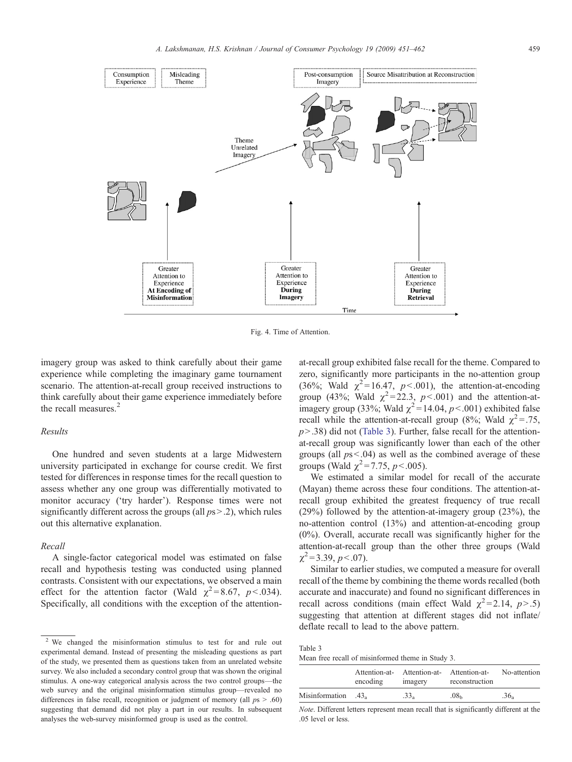<span id="page-8-0"></span>

Fig. 4. Time of Attention.

imagery group was asked to think carefully about their game experience while completing the imaginary game tournament scenario. The attention-at-recall group received instructions to think carefully about their game experience immediately before the recall measures.<sup>2</sup>

# Results

One hundred and seven students at a large Midwestern university participated in exchange for course credit. We first tested for differences in response times for the recall question to assess whether any one group was differentially motivated to monitor accuracy ('try harder'). Response times were not significantly different across the groups (all  $ps > .2$ ), which rules out this alternative explanation.

## Recall

A single-factor categorical model was estimated on false recall and hypothesis testing was conducted using planned contrasts. Consistent with our expectations, we observed a main effect for the attention factor (Wald  $\chi^2 = 8.67$ ,  $p < .034$ ). Specifically, all conditions with the exception of the attention-

at-recall group exhibited false recall for the theme. Compared to zero, significantly more participants in the no-attention group (36%; Wald  $\chi^2$ =16.47, p<.001), the attention-at-encoding group (43%; Wald  $\chi^2$ =22.3, p<.001) and the attention-atimagery group (33%; Wald  $\chi^2$  = 14.04, p < 001) exhibited false recall while the attention-at-recall group (8%; Wald  $\chi^2 = .75$ ,  $p > .38$ ) did not (Table 3). Further, false recall for the attentionat-recall group was significantly lower than each of the other groups (all  $ps<0.04$ ) as well as the combined average of these groups (Wald  $\chi^2$  = 7.75, p < 0.005).

We estimated a similar model for recall of the accurate (Mayan) theme across these four conditions. The attention-atrecall group exhibited the greatest frequency of true recall (29%) followed by the attention-at-imagery group (23%), the no-attention control (13%) and attention-at-encoding group (0%). Overall, accurate recall was significantly higher for the attention-at-recall group than the other three groups (Wald  $\chi^2$  = 3.39, p < 0.07).

Similar to earlier studies, we computed a measure for overall recall of the theme by combining the theme words recalled (both accurate and inaccurate) and found no significant differences in recall across conditions (main effect Wald  $\chi^2$ =2.14, p>.5) suggesting that attention at different stages did not inflate/ deflate recall to lead to the above pattern.

Table 3 Mean free recall of misinformed theme in Study 3.

|                     | encoding | Attention-at- Attention-at- Attention-at-<br>imagery | reconstruction   | No-attention     |
|---------------------|----------|------------------------------------------------------|------------------|------------------|
| Misinformation .43. |          | .33 <sub>°</sub>                                     | .08 <sub>b</sub> | .36 <sub>a</sub> |

Note. Different letters represent mean recall that is significantly different at the .05 level or less.

<sup>2</sup> We changed the misinformation stimulus to test for and rule out experimental demand. Instead of presenting the misleading questions as part of the study, we presented them as questions taken from an unrelated website survey. We also included a secondary control group that was shown the original stimulus. A one-way categorical analysis across the two control groups—the web survey and the original misinformation stimulus group—revealed no differences in false recall, recognition or judgment of memory (all  $ps > .60$ ) suggesting that demand did not play a part in our results. In subsequent analyses the web-survey misinformed group is used as the control.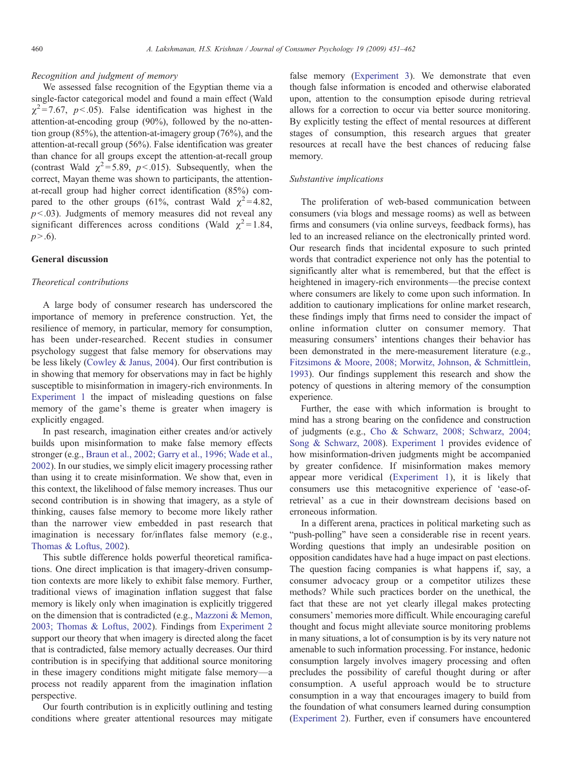# Recognition and judgment of memory

We assessed false recognition of the Egyptian theme via a single-factor categorical model and found a main effect (Wald  $\chi^2$ =7.67, p < 05). False identification was highest in the attention-at-encoding group (90%), followed by the no-attention group (85%), the attention-at-imagery group (76%), and the attention-at-recall group (56%). False identification was greater than chance for all groups except the attention-at-recall group (contrast Wald  $\chi^2$ =5.89, p < 015). Subsequently, when the correct, Mayan theme was shown to participants, the attentionat-recall group had higher correct identification (85%) compared to the other groups (61%, contrast Wald  $\chi^2$ =4.82,  $p<0.03$ ). Judgments of memory measures did not reveal any significant differences across conditions (Wald  $\chi^2$  = 1.84,  $p > .6$ ).

# General discussion

#### Theoretical contributions

A large body of consumer research has underscored the importance of memory in preference construction. Yet, the resilience of memory, in particular, memory for consumption, has been under-researched. Recent studies in consumer psychology suggest that false memory for observations may be less likely [\(Cowley & Janus, 2004](#page-10-0)). Our first contribution is in showing that memory for observations may in fact be highly susceptible to misinformation in imagery-rich environments. In Experiment 1 the impact of misleading questions on false memory of the game's theme is greater when imagery is explicitly engaged.

In past research, imagination either creates and/or actively builds upon misinformation to make false memory effects stronger (e.g., [Braun et al., 2002; Garry et al., 1996; Wade et al.,](#page-10-0) [2002\)](#page-10-0). In our studies, we simply elicit imagery processing rather than using it to create misinformation. We show that, even in this context, the likelihood of false memory increases. Thus our second contribution is in showing that imagery, as a style of thinking, causes false memory to become more likely rather than the narrower view embedded in past research that imagination is necessary for/inflates false memory (e.g., [Thomas & Loftus, 2002\)](#page-10-0).

This subtle difference holds powerful theoretical ramifications. One direct implication is that imagery-driven consumption contexts are more likely to exhibit false memory. Further, traditional views of imagination inflation suggest that false memory is likely only when imagination is explicitly triggered on the dimension that is contradicted (e.g., [Mazzoni & Memon,](#page-10-0) [2003; Thomas & Loftus, 2002](#page-10-0)). Findings from Experiment 2 support our theory that when imagery is directed along the facet that is contradicted, false memory actually decreases. Our third contribution is in specifying that additional source monitoring in these imagery conditions might mitigate false memory—a process not readily apparent from the imagination inflation perspective.

Our fourth contribution is in explicitly outlining and testing conditions where greater attentional resources may mitigate

false memory (Experiment 3). We demonstrate that even though false information is encoded and otherwise elaborated upon, attention to the consumption episode during retrieval allows for a correction to occur via better source monitoring. By explicitly testing the effect of mental resources at different stages of consumption, this research argues that greater resources at recall have the best chances of reducing false memory.

# Substantive implications

The proliferation of web-based communication between consumers (via blogs and message rooms) as well as between firms and consumers (via online surveys, feedback forms), has led to an increased reliance on the electronically printed word. Our research finds that incidental exposure to such printed words that contradict experience not only has the potential to significantly alter what is remembered, but that the effect is heightened in imagery-rich environments—the precise context where consumers are likely to come upon such information. In addition to cautionary implications for online market research, these findings imply that firms need to consider the impact of online information clutter on consumer memory. That measuring consumers' intentions changes their behavior has been demonstrated in the mere-measurement literature (e.g., [Fitzsimons & Moore, 2008; Morwitz, Johnson, & Schmittlein,](#page-10-0) [1993\)](#page-10-0). Our findings supplement this research and show the potency of questions in altering memory of the consumption experience.

Further, the ease with which information is brought to mind has a strong bearing on the confidence and construction of judgments (e.g., [Cho & Schwarz, 2008; Schwarz, 2004;](#page-10-0) [Song & Schwarz, 2008](#page-10-0)). Experiment 1 provides evidence of how misinformation-driven judgments might be accompanied by greater confidence. If misinformation makes memory appear more veridical (Experiment 1), it is likely that consumers use this metacognitive experience of 'ease-ofretrieval' as a cue in their downstream decisions based on erroneous information.

In a different arena, practices in political marketing such as "push-polling" have seen a considerable rise in recent years. Wording questions that imply an undesirable position on opposition candidates have had a huge impact on past elections. The question facing companies is what happens if, say, a consumer advocacy group or a competitor utilizes these methods? While such practices border on the unethical, the fact that these are not yet clearly illegal makes protecting consumers' memories more difficult. While encouraging careful thought and focus might alleviate source monitoring problems in many situations, a lot of consumption is by its very nature not amenable to such information processing. For instance, hedonic consumption largely involves imagery processing and often precludes the possibility of careful thought during or after consumption. A useful approach would be to structure consumption in a way that encourages imagery to build from the foundation of what consumers learned during consumption (Experiment 2). Further, even if consumers have encountered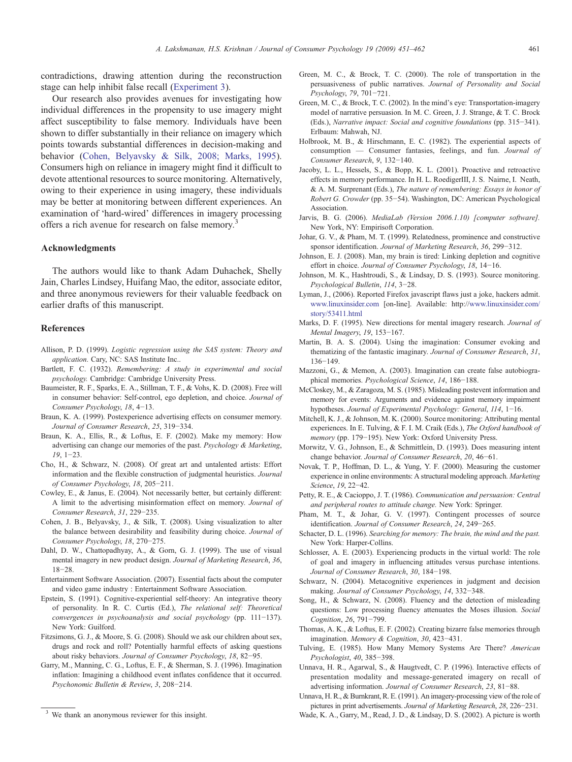<span id="page-10-0"></span>contradictions, drawing attention during the reconstruction stage can help inhibit false recall (Experiment 3).

Our research also provides avenues for investigating how individual differences in the propensity to use imagery might affect susceptibility to false memory. Individuals have been shown to differ substantially in their reliance on imagery which points towards substantial differences in decision-making and behavior (Cohen, Belyavsky & Silk, 2008; Marks, 1995). Consumers high on reliance in imagery might find it difficult to devote attentional resources to source monitoring. Alternatively, owing to their experience in using imagery, these individuals may be better at monitoring between different experiences. An examination of 'hard-wired' differences in imagery processing offers a rich avenue for research on false memory.<sup>3</sup>

#### Acknowledgments

The authors would like to thank Adam Duhachek, Shelly Jain, Charles Lindsey, Huifang Mao, the editor, associate editor, and three anonymous reviewers for their valuable feedback on earlier drafts of this manuscript.

## References

- Allison, P. D. (1999). Logistic regression using the SAS system: Theory and application. Cary, NC: SAS Institute Inc..
- Bartlett, F. C. (1932). Remembering: A study in experimental and social psychology. Cambridge: Cambridge University Press.
- Baumeister, R. F., Sparks, E. A., Stillman, T. F., & Vohs, K. D. (2008). Free will in consumer behavior: Self-control, ego depletion, and choice. Journal of Consumer Psychology, 18, 4−13.
- Braun, K. A. (1999). Postexperience advertising effects on consumer memory. Journal of Consumer Research, 25, 319−334.
- Braun, K. A., Ellis, R., & Loftus, E. F. (2002). Make my memory: How advertising can change our memories of the past. Psychology & Marketing, 19, 1−23.
- Cho, H., & Schwarz, N. (2008). Of great art and untalented artists: Effort information and the flexible construction of judgmental heuristics. Journal of Consumer Psychology, 18, 205−211.
- Cowley, E., & Janus, E. (2004). Not necessarily better, but certainly different: A limit to the advertising misinformation effect on memory. Journal of Consumer Research, 31, 229−235.
- Cohen, J. B., Belyavsky, J., & Silk, T. (2008). Using visualization to alter the balance between desirability and feasibility during choice. Journal of Consumer Psychology, 18, 270−275.
- Dahl, D. W., Chattopadhyay, A., & Gorn, G. J. (1999). The use of visual mental imagery in new product design. Journal of Marketing Research, 36, 18−28.
- Entertainment Software Association. (2007). Essential facts about the computer and video game industry : Entertainment Software Association.
- Epstein, S. (1991). Cognitive-experiential self-theory: An integrative theory of personality. In R. C. Curtis (Ed.), The relational self: Theoretical convergences in psychoanalysis and social psychology (pp. 111−137). New York: Guilford.
- Fitzsimons, G. J., & Moore, S. G. (2008). Should we ask our children about sex, drugs and rock and roll? Potentially harmful effects of asking questions about risky behaviors. Journal of Consumer Psychology, 18, 82−95.
- Garry, M., Manning, C. G., Loftus, E. F., & Sherman, S. J. (1996). Imagination inflation: Imagining a childhood event inflates confidence that it occurred. Psychonomic Bulletin & Review, 3, 208−214.
- Green, M. C., & Brock, T. C. (2000). The role of transportation in the persuasiveness of public narratives. Journal of Personality and Social Psychology, 79, 701−721.
- Green, M. C., & Brock, T. C. (2002). In the mind's eye: Transportation-imagery model of narrative persuasion. In M. C. Green, J. J. Strange, & T. C. Brock (Eds.), Narrative impact: Social and cognitive foundations (pp. 315−341). Erlbaum: Mahwah, NJ.
- Holbrook, M. B., & Hirschmann, E. C. (1982). The experiential aspects of consumption — Consumer fantasies, feelings, and fun. Journal of Consumer Research, 9, 132−140.
- Jacoby, L. L., Hessels, S., & Bopp, K. L. (2001). Proactive and retroactive effects in memory performance. In H. L. RoedigerIII, J. S. Nairne, I. Neath, & A. M. Surprenant (Eds.), The nature of remembering: Essays in honor of Robert G. Crowder (pp. 35−54). Washington, DC: American Psychological Association.
- Jarvis, B. G. (2006). MediaLab (Version 2006.1.10) [computer software]. New York, NY: Empirisoft Corporation.
- Johar, G. V., & Pham, M. T. (1999). Relatedness, prominence and constructive sponsor identification. Journal of Marketing Research, 36, 299−312.
- Johnson, E. J. (2008). Man, my brain is tired: Linking depletion and cognitive effort in choice. Journal of Consumer Psychology, 18, 14−16.
- Johnson, M. K., Hashtroudi, S., & Lindsay, D. S. (1993). Source monitoring. Psychological Bulletin, 114, 3−28.
- Lyman, J., (2006). Reported Firefox javascript flaws just a joke, hackers admit. [www.linuxinsider.com](http://www.linuxinsider.com) [on-line]. Available: http:/[/www.linuxinsider.com/](http://www.linuxinsider.com) [story/53411.html](http://www.linuxinsider.com)
- Marks, D. F. (1995). New directions for mental imagery research. Journal of Mental Imagery, 19, 153−167.
- Martin, B. A. S. (2004). Using the imagination: Consumer evoking and thematizing of the fantastic imaginary. Journal of Consumer Research, 31, 136−149.
- Mazzoni, G., & Memon, A. (2003). Imagination can create false autobiographical memories. Psychological Science, 14, 186−188.
- McCloskey, M., & Zaragoza, M. S. (1985). Misleading postevent information and memory for events: Arguments and evidence against memory impairment hypotheses. Journal of Experimental Psychology: General, 114, 1−16.
- Mitchell, K. J., & Johnson, M. K. (2000). Source monitoring: Attributing mental experiences. In E. Tulving, & F. I. M. Craik (Eds.), The Oxford handbook of memory (pp. 179−195). New York: Oxford University Press.
- Morwitz, V. G., Johnson, E., & Schmittlein, D. (1993). Does measuring intent change behavior. Journal of Consumer Research, 20, 46−61.
- Novak, T. P., Hoffman, D. L., & Yung, Y. F. (2000). Measuring the customer experience in online environments: A structural modeling approach. Marketing Science, 19, 22−42.
- Petty, R. E., & Cacioppo, J. T. (1986). Communication and persuasion: Central and peripheral routes to attitude change. New York: Springer.
- Pham, M. T., & Johar, G. V. (1997). Contingent processes of source identification. Journal of Consumer Research, 24, 249−265.
- Schacter, D. L. (1996). Searching for memory: The brain, the mind and the past. New York: Harper-Collins.
- Schlosser, A. E. (2003). Experiencing products in the virtual world: The role of goal and imagery in influencing attitudes versus purchase intentions. Journal of Consumer Research, 30, 184−198.
- Schwarz, N. (2004). Metacognitive experiences in judgment and decision making. Journal of Consumer Psychology, 14, 332−348.
- Song, H., & Schwarz, N. (2008). Fluency and the detection of misleading questions: Low processing fluency attenuates the Moses illusion. Social Cognition, 26, 791−799.
- Thomas, A. K., & Loftus, E. F. (2002). Creating bizarre false memories through imagination. Memory & Cognition, 30, 423−431.
- Tulving, E. (1985). How Many Memory Systems Are There? American Psychologist, 40, 385−398.
- Unnava, H. R., Agarwal, S., & Haugtvedt, C. P. (1996). Interactive effects of presentation modality and message-generated imagery on recall of advertising information. Journal of Consumer Research, 23, 81−88.
- Unnava, H. R., & Burnkrant, R. E. (1991). An imagery-processing view of the role of pictures in print advertisements. Journal of Marketing Research, 28, 226−231.
- Wade, K. A., Garry, M., Read, J. D., & Lindsay, D. S. (2002). A picture is worth 3 We thank an anonymous reviewer for this insight. Wade, K. A., Garry, M., Read, J. D., & Lindsay, D. S. (2002). A picture is worth